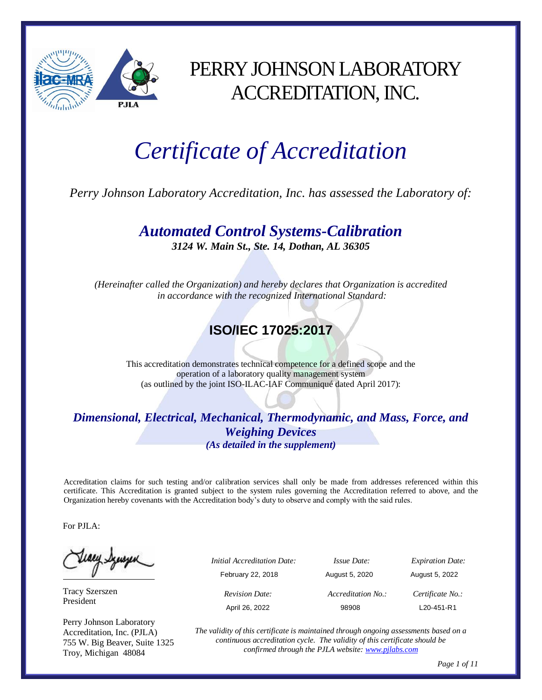

## PERRY JOHNSON LABORATORY ACCREDITATION, INC.

# *Certificate of Accreditation*

*Perry Johnson Laboratory Accreditation, Inc. has assessed the Laboratory of:*

*Automated Control Systems-Calibration 3124 W. Main St., Ste. 14, Dothan, AL 36305*

*(Hereinafter called the Organization) and hereby declares that Organization is accredited in accordance with the recognized International Standard:*

### **ISO/IEC 17025:2017**

This accreditation demonstrates technical competence for a defined scope and the operation of a laboratory quality management system (as outlined by the joint ISO-ILAC-IAF Communiqué dated April 2017):

#### *Dimensional, Electrical, Mechanical, Thermodynamic, and Mass, Force, and Weighing Devices (As detailed in the supplement)*

Accreditation claims for such testing and/or calibration services shall only be made from addresses referenced within this certificate. This Accreditation is granted subject to the system rules governing the Accreditation referred to above, and the Organization hereby covenants with the Accreditation body's duty to observe and comply with the said rules.

For PJLA:

Teacy Synsyer

Tracy Szerszen President

Perry Johnson Laboratory Accreditation, Inc. (PJLA) 755 W. Big Beaver, Suite 1325 Troy, Michigan 48084

| پ | <i>Initial Accreditation Date:</i> | <i>Issue Date:</i> | <b>Expiration Date:</b> |
|---|------------------------------------|--------------------|-------------------------|
|   | February 22, 2018                  | August 5, 2020     | August 5, 2022          |
|   | <b>Revision Date:</b>              | Accreditation No.: | Certificate No.:        |
|   | April 26, 2022                     | 98908              | L20-451-R1              |

*The validity of this certificate is maintained through ongoing assessments based on a continuous accreditation cycle. The validity of this certificate should be confirmed through the PJLA website[: www.pjlabs.com](http://www.pjlabs.com/)*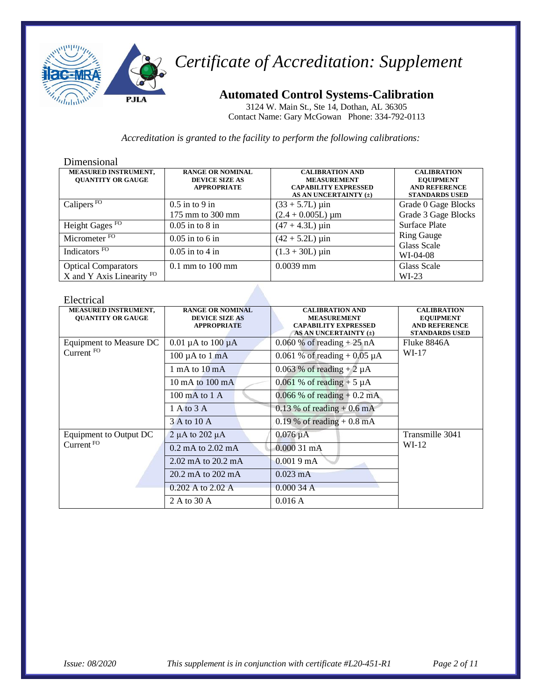

### **Automated Control Systems-Calibration**

3124 W. Main St., Ste 14, Dothan, AL 36305 Contact Name: Gary McGowan Phone: 334-792-0113

*Accreditation is granted to the facility to perform the following calibrations:*

#### Dimensional

| <b>MEASURED INSTRUMENT,</b><br><b>OUANTITY OR GAUGE</b> | <b>RANGE OR NOMINAL</b><br><b>DEVICE SIZE AS</b><br><b>APPROPRIATE</b> | <b>CALIBRATION AND</b><br><b>MEASUREMENT</b><br><b>CAPABILITY EXPRESSED</b><br>AS AN UNCERTAINTY (±) | <b>CALIBRATION</b><br><b>EQUIPMENT</b><br><b>AND REFERENCE</b><br><b>STANDARDS USED</b> |
|---------------------------------------------------------|------------------------------------------------------------------------|------------------------------------------------------------------------------------------------------|-----------------------------------------------------------------------------------------|
| Calipers $FO$                                           | $0.5$ in to 9 in                                                       | $(33 + 5.7L) \,\mu\text{in}$                                                                         | Grade 0 Gage Blocks                                                                     |
|                                                         | 175 mm to 300 mm                                                       | $(2.4 + 0.005L) \mu m$                                                                               | Grade 3 Gage Blocks                                                                     |
| Height Gages <sup>FO</sup>                              | $0.05$ in to $8$ in                                                    | $(47 + 4.3L) \,\mu\text{in}$                                                                         | <b>Surface Plate</b>                                                                    |
| Micrometer <sup>FO</sup>                                | $0.05$ in to 6 in                                                      | $(42 + 5.2L) \,\mu\text{in}$                                                                         | <b>Ring Gauge</b><br>Glass Scale                                                        |
| Indicators FO                                           | $0.05$ in to 4 in                                                      | $(1.3 + 30L) \mu$ in                                                                                 | $WI-04-08$                                                                              |
| <b>Optical Comparators</b>                              | $0.1$ mm to $100$ mm                                                   | $0.0039$ mm                                                                                          | Glass Scale                                                                             |
| X and Y Axis Linearity $FO$                             |                                                                        |                                                                                                      | $WI-23$                                                                                 |

#### Electrical

| LIUULI LUUL                                      |                                                                        |                                                                                                      |                                                                                         |
|--------------------------------------------------|------------------------------------------------------------------------|------------------------------------------------------------------------------------------------------|-----------------------------------------------------------------------------------------|
| MEASURED INSTRUMENT,<br><b>OUANTITY OR GAUGE</b> | <b>RANGE OR NOMINAL</b><br><b>DEVICE SIZE AS</b><br><b>APPROPRIATE</b> | <b>CALIBRATION AND</b><br><b>MEASUREMENT</b><br><b>CAPABILITY EXPRESSED</b><br>AS AN UNCERTAINTY (±) | <b>CALIBRATION</b><br><b>EQUIPMENT</b><br><b>AND REFERENCE</b><br><b>STANDARDS USED</b> |
| Equipment to Measure DC                          | 0.01 $\mu$ A to 100 $\mu$ A                                            | 0.060 % of reading $+25$ nA                                                                          | Fluke 8846A                                                                             |
| Current <sup>FO</sup>                            | $100 \mu A$ to $1 \mu A$                                               | 0.061 % of reading + 0.05 $\mu$ A                                                                    | WI-17                                                                                   |
|                                                  | 1 mA to $10 \text{ mA}$                                                | 0.063 % of reading $+2 \mu A$                                                                        |                                                                                         |
|                                                  | $10 \text{ mA}$ to $100 \text{ mA}$                                    | $0.061$ % of reading + 5 $\mu$ A                                                                     |                                                                                         |
|                                                  | $100 \text{ mA}$ to $1 \text{ A}$                                      | $0.066\%$ of reading $+0.2$ mA                                                                       |                                                                                         |
|                                                  | 1 A to 3 A                                                             | $0.13\%$ of reading + 0.6 mA                                                                         |                                                                                         |
|                                                  | 3 A to 10 A                                                            | 0.19 % of reading $+$ 0.8 mA                                                                         |                                                                                         |
| Equipment to Output DC                           | $2 \mu A$ to $202 \mu A$                                               | $0.076 \mu A$                                                                                        | Transmille 3041                                                                         |
| Current <sup>FO</sup>                            | $0.2 \text{ mA}$ to $2.02 \text{ mA}$                                  | $0.00031$ mA                                                                                         | $WI-12$                                                                                 |
|                                                  | $2.02 \text{ mA}$ to $20.2 \text{ mA}$                                 | 0.0019mA                                                                                             |                                                                                         |
|                                                  | $20.2 \text{ mA}$ to $202 \text{ mA}$                                  | $0.023 \text{ mA}$                                                                                   |                                                                                         |
|                                                  | 0.202 A to 2.02 A                                                      | 0.00034 A                                                                                            |                                                                                         |
|                                                  | 2 A to 30 A                                                            | 0.016A                                                                                               |                                                                                         |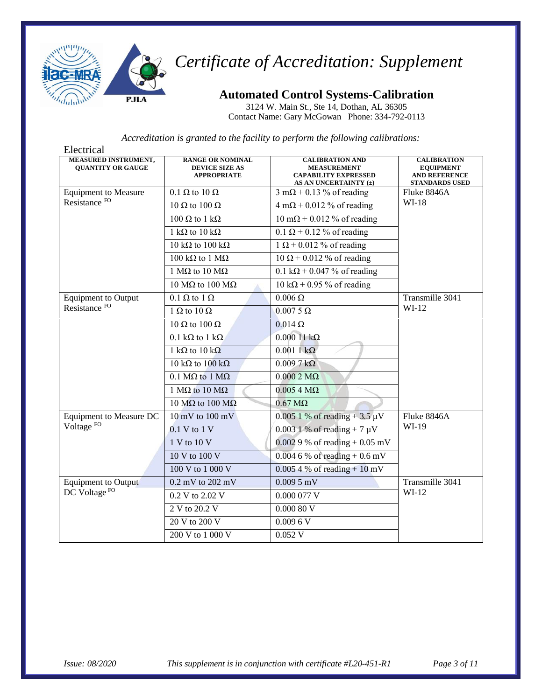

### **Automated Control Systems-Calibration**

3124 W. Main St., Ste 14, Dothan, AL 36305 Contact Name: Gary McGowan Phone: 334-792-0113

| Electrical                                       |                                                                        |                                                                                                      |                                                                                         |
|--------------------------------------------------|------------------------------------------------------------------------|------------------------------------------------------------------------------------------------------|-----------------------------------------------------------------------------------------|
| MEASURED INSTRUMENT,<br><b>QUANTITY OR GAUGE</b> | <b>RANGE OR NOMINAL</b><br><b>DEVICE SIZE AS</b><br><b>APPROPRIATE</b> | <b>CALIBRATION AND</b><br><b>MEASUREMENT</b><br><b>CAPABILITY EXPRESSED</b><br>AS AN UNCERTAINTY (±) | <b>CALIBRATION</b><br><b>EQUIPMENT</b><br><b>AND REFERENCE</b><br><b>STANDARDS USED</b> |
| <b>Equipment to Measure</b>                      | $0.1 \Omega$ to $10 \Omega$                                            | $3 \text{ mA} + 0.13 \%$ of reading                                                                  | Fluke 8846A                                                                             |
| Resistance FO                                    | 10 $\Omega$ to 100 $\Omega$                                            | $4 \text{ m}\Omega + 0.012 \%$ of reading                                                            | $WI-18$                                                                                 |
|                                                  | 100 Ω to 1 kΩ                                                          | $10 \text{ mA} + 0.012 \%$ of reading                                                                |                                                                                         |
|                                                  | 1 k $\Omega$ to 10 k $\Omega$                                          | $0.1 \Omega + 0.12 \%$ of reading                                                                    |                                                                                         |
|                                                  | $10 \text{ k}\Omega$ to $100 \text{ k}\Omega$                          | $1 \Omega + 0.012 \%$ of reading                                                                     |                                                                                         |
|                                                  | 100 kΩ to 1 MΩ                                                         | $10 \Omega + 0.012$ % of reading                                                                     |                                                                                         |
|                                                  | 1 MΩ to 10 MΩ                                                          | $0.1 \text{ k}\Omega + 0.047 \%$ of reading                                                          |                                                                                         |
|                                                  | 10 MΩ to 100 MΩ                                                        | $10 \text{ k}\Omega$ + 0.95 % of reading                                                             |                                                                                         |
| <b>Equipment</b> to Output                       | $0.1 \Omega$ to $1 \Omega$                                             | $0.006 \Omega$                                                                                       | Transmille 3041                                                                         |
| Resistance <sup>FO</sup>                         | 1 $\Omega$ to 10 $\Omega$                                              | $0.0075 \Omega$                                                                                      | $WI-12$                                                                                 |
|                                                  | 10 $\Omega$ to 100 $\Omega$                                            | $0.014 \Omega$                                                                                       |                                                                                         |
|                                                  | $0.1 \text{ k}\Omega$ to $1 \text{ k}\Omega$                           | $0.00011 k\Omega$                                                                                    |                                                                                         |
|                                                  | 1 k $\Omega$ to 10 k $\Omega$                                          | $0.0011 k\Omega$                                                                                     |                                                                                         |
|                                                  | 10 kΩ to 100 kΩ                                                        | $0.0097 k\Omega$                                                                                     |                                                                                         |
|                                                  | $0.1 \text{ M}\Omega$ to $1 \text{ M}\Omega$                           | $0.0002$ M $\Omega$                                                                                  |                                                                                         |
|                                                  | 1 MΩ to 10 MΩ                                                          | $0.0054 M\Omega$                                                                                     |                                                                                         |
|                                                  | 10 M $\Omega$ to 100 M $\Omega$                                        | $0.67 \text{ M}\Omega$                                                                               |                                                                                         |
| Equipment to Measure DC                          | $10 \text{ mV}$ to $100 \text{ mV}$                                    | $0.0051\%$ of reading + 3.5 µV                                                                       | Fluke 8846A                                                                             |
| Voltage <sup>FO</sup>                            | $0.1 V$ to $1 V$                                                       | $0.0031\%$ of reading + 7 µV                                                                         | WI-19                                                                                   |
|                                                  | 1 V to 10 V                                                            | $0.0029$ % of reading + 0.05 mV                                                                      |                                                                                         |
|                                                  | 10 V to 100 V                                                          | $0.0046$ % of reading + 0.6 mV                                                                       |                                                                                         |
|                                                  | 100 V to 1 000 V                                                       | $0.0054$ % of reading + 10 mV                                                                        |                                                                                         |
| <b>Equipment to Output</b>                       | $0.2$ mV to $202$ mV                                                   | $0.0095$ mV                                                                                          | Transmille 3041                                                                         |
| DC Voltage <sup>FO</sup>                         | 0.2 V to 2.02 V                                                        | $0.000077$ V                                                                                         | $WI-12$                                                                                 |
|                                                  | 2 V to 20.2 V                                                          | 0.00080V                                                                                             |                                                                                         |
|                                                  | 20 V to 200 V                                                          | 0.0096V                                                                                              |                                                                                         |
|                                                  |                                                                        |                                                                                                      |                                                                                         |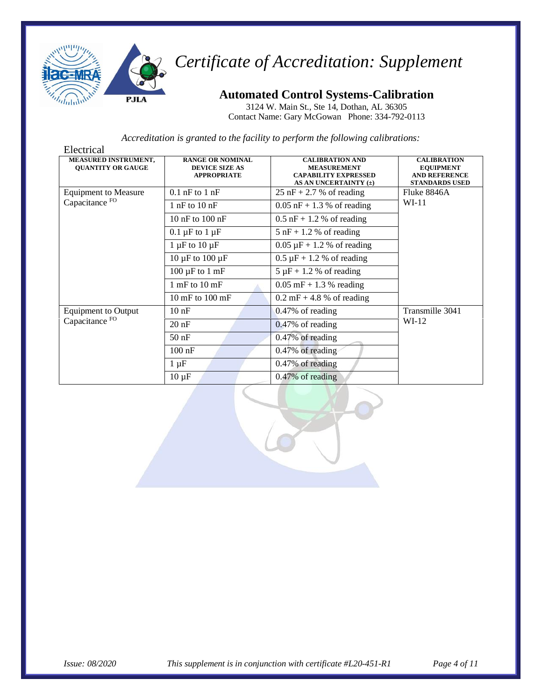

### **Automated Control Systems-Calibration**

3124 W. Main St., Ste 14, Dothan, AL 36305 Contact Name: Gary McGowan Phone: 334-792-0113

| Electrical                                              |                                                                        |                                                                                                      |                                                                                         |
|---------------------------------------------------------|------------------------------------------------------------------------|------------------------------------------------------------------------------------------------------|-----------------------------------------------------------------------------------------|
| <b>MEASURED INSTRUMENT,</b><br><b>QUANTITY OR GAUGE</b> | <b>RANGE OR NOMINAL</b><br><b>DEVICE SIZE AS</b><br><b>APPROPRIATE</b> | <b>CALIBRATION AND</b><br><b>MEASUREMENT</b><br><b>CAPABILITY EXPRESSED</b><br>AS AN UNCERTAINTY (±) | <b>CALIBRATION</b><br><b>EQUIPMENT</b><br><b>AND REFERENCE</b><br><b>STANDARDS USED</b> |
| <b>Equipment to Measure</b>                             | $0.1$ nF to $1$ nF                                                     | $25$ nF + 2.7 % of reading                                                                           | Fluke 8846A                                                                             |
| Capacitance <sup>FO</sup>                               | $1$ nF to $10$ nF                                                      | $0.05$ nF + 1.3 % of reading                                                                         | $WI-11$                                                                                 |
|                                                         | 10 nF to 100 nF                                                        | $0.5$ nF + 1.2 % of reading                                                                          |                                                                                         |
|                                                         | $0.1 \mu F$ to $1 \mu F$                                               | $5$ nF + 1.2 % of reading                                                                            |                                                                                         |
|                                                         | $1 \mu$ F to $10 \mu$ F                                                | $0.05 \mu F + 1.2 \%$ of reading                                                                     |                                                                                         |
|                                                         | 10 $\mu$ F to 100 $\mu$ F                                              | $0.5 \mu F + 1.2 \%$ of reading                                                                      |                                                                                         |
|                                                         | $100 \mu F$ to $1 \text{ mF}$                                          | $5 \mu F + 1.2$ % of reading                                                                         |                                                                                         |
|                                                         | $1$ mF to $10$ mF                                                      | $0.05$ mF + 1.3 % reading                                                                            |                                                                                         |
|                                                         | $10 \text{ mF}$ to $100 \text{ mF}$                                    | $0.2 \text{ mF} + 4.8 \%$ of reading                                                                 |                                                                                         |
| <b>Equipment to Output</b>                              | 10 <sub>nF</sub>                                                       | $0.47\%$ of reading                                                                                  | Transmille 3041                                                                         |
| Capacitance <sup>FO</sup>                               | $20$ nF                                                                | $0.47\%$ of reading                                                                                  | $WI-12$                                                                                 |
|                                                         | $50$ nF                                                                | 0.47% of reading                                                                                     |                                                                                         |
|                                                         | $100$ nF                                                               | 0.47% of reading                                                                                     |                                                                                         |
|                                                         | $1 \mu F$                                                              | 0.47% of reading                                                                                     |                                                                                         |
|                                                         | $10 \mu F$                                                             | $0.47\%$ of reading                                                                                  |                                                                                         |

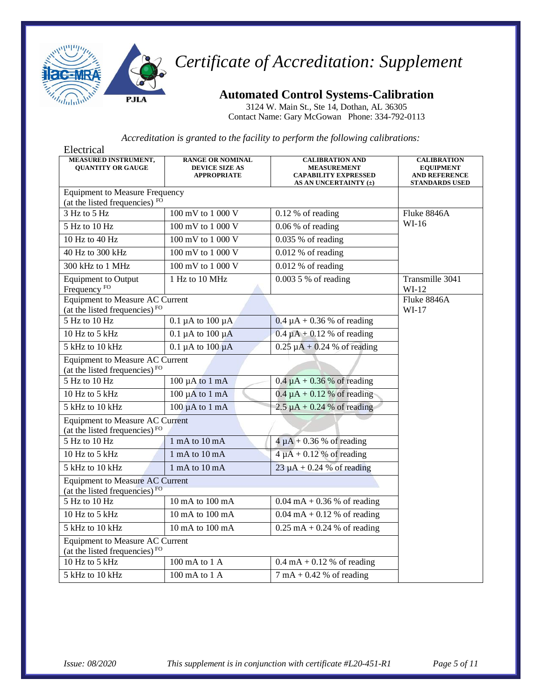

### **Automated Control Systems-Calibration**

3124 W. Main St., Ste 14, Dothan, AL 36305 Contact Name: Gary McGowan Phone: 334-792-0113

| Electrical                                                                          |                                                                        |                                                                                                      |                                                                                         |
|-------------------------------------------------------------------------------------|------------------------------------------------------------------------|------------------------------------------------------------------------------------------------------|-----------------------------------------------------------------------------------------|
| <b>MEASURED INSTRUMENT,</b><br><b>OUANTITY OR GAUGE</b>                             | <b>RANGE OR NOMINAL</b><br><b>DEVICE SIZE AS</b><br><b>APPROPRIATE</b> | <b>CALIBRATION AND</b><br><b>MEASUREMENT</b><br><b>CAPABILITY EXPRESSED</b><br>AS AN UNCERTAINTY (±) | <b>CALIBRATION</b><br><b>EQUIPMENT</b><br><b>AND REFERENCE</b><br><b>STANDARDS USED</b> |
| <b>Equipment to Measure Frequency</b>                                               |                                                                        |                                                                                                      |                                                                                         |
| (at the listed frequencies) FO<br>3 Hz to 5 Hz                                      | 100 mV to 1 000 V                                                      | $0.12%$ of reading                                                                                   |                                                                                         |
|                                                                                     |                                                                        |                                                                                                      | Fluke 8846A<br>$WI-16$                                                                  |
| 5 Hz to 10 Hz                                                                       | 100 mV to 1 000 V                                                      | $0.06\%$ of reading                                                                                  |                                                                                         |
| 10 Hz to 40 Hz                                                                      | 100 mV to 1 000 V                                                      | $0.035%$ of reading                                                                                  |                                                                                         |
| 40 Hz to 300 kHz                                                                    | $\overline{100 \text{ mV}}$ to 1 000 V                                 | $0.012\%$ of reading                                                                                 |                                                                                         |
| 300 kHz to 1 MHz                                                                    | 100 mV to 1 000 V                                                      | $0.012$ % of reading                                                                                 |                                                                                         |
| <b>Equipment</b> to Output<br>Frequency <sup>FO</sup>                               | 1 Hz to 10 MHz                                                         | $0.0035%$ of reading                                                                                 | Transmille 3041<br>$WI-12$                                                              |
| <b>Equipment to Measure AC Current</b><br>(at the listed frequencies) $FQ$          |                                                                        |                                                                                                      | Fluke 8846A<br>$WI-17$                                                                  |
| 5 Hz to 10 Hz                                                                       | $0.1 \mu A$ to $100 \mu A$                                             | $0.4 \mu A + 0.36$ % of reading                                                                      |                                                                                         |
| 10 Hz to 5 kHz                                                                      | $0.1 \mu A$ to $100 \mu A$                                             | $0.4 \mu A + 0.12$ % of reading                                                                      |                                                                                         |
| 5 kHz to 10 kHz                                                                     | $0.1 \mu A$ to $100 \mu A$                                             | $0.25 \mu A + 0.24 \%$ of reading                                                                    |                                                                                         |
| <b>Equipment to Measure AC Current</b><br>(at the listed frequencies) <sup>FO</sup> |                                                                        |                                                                                                      |                                                                                         |
| $5$ Hz to $10$ Hz                                                                   | $100 \mu A$ to $1 \text{ mA}$                                          | $0.4 \mu A + 0.36$ % of reading                                                                      |                                                                                         |
| 10 Hz to 5 kHz                                                                      | $100 \mu A$ to $1 \mu A$                                               | $0.4 \mu A + 0.12 \%$ of reading                                                                     |                                                                                         |
| 5 kHz to 10 kHz                                                                     | $100 \mu A$ to $1 \mu A$                                               | $2.5 \mu A + 0.24$ % of reading                                                                      |                                                                                         |
| <b>Equipment to Measure AC Current</b><br>(at the listed frequencies) <sup>FO</sup> |                                                                        |                                                                                                      |                                                                                         |
| $5$ Hz to $10$ Hz                                                                   | 1 mA to 10 mA                                                          | $4 \mu A + 0.36$ % of reading                                                                        |                                                                                         |
| 10 Hz to 5 kHz                                                                      | 1 mA to 10 mA                                                          | $4 \mu A + 0.12$ % of reading                                                                        |                                                                                         |
| 5 kHz to 10 kHz                                                                     | 1 mA to 10 mA                                                          | $23 \mu A + 0.24$ % of reading                                                                       |                                                                                         |
| <b>Equipment to Measure AC Current</b><br>(at the listed frequencies) FO            |                                                                        |                                                                                                      |                                                                                         |
| 5 Hz to 10 Hz                                                                       | 10 mA to 100 mA                                                        | $0.04 \text{ mA} + 0.36 \% \text{ of reading}$                                                       |                                                                                         |
| 10 Hz to 5 kHz                                                                      | 10 mA to 100 mA                                                        | $0.04 \text{ mA} + 0.12 \%$ of reading                                                               |                                                                                         |
| 5 kHz to 10 kHz                                                                     | 10 mA to 100 mA                                                        | $0.25 \text{ mA} + 0.24 \text{ % of reading}$                                                        |                                                                                         |
| <b>Equipment to Measure AC Current</b><br>(at the listed frequencies) <sup>FO</sup> |                                                                        |                                                                                                      |                                                                                         |
| 10 Hz to 5 kHz                                                                      | $100 \text{ mA}$ to $1 \text{ A}$                                      | $0.4 \text{ mA} + 0.12$ % of reading                                                                 |                                                                                         |
| 5 kHz to 10 kHz                                                                     | 100 mA to 1 A                                                          | $7 \text{ mA} + 0.42$ % of reading                                                                   |                                                                                         |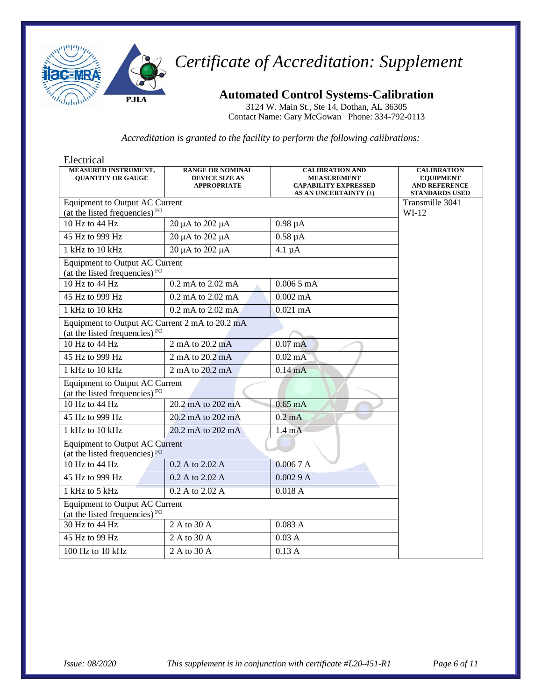

### **Automated Control Systems-Calibration**

3124 W. Main St., Ste 14, Dothan, AL 36305 Contact Name: Gary McGowan Phone: 334-792-0113

| Electrical                                                                         |                                                                        |                                                                                                      |                                                                                         |
|------------------------------------------------------------------------------------|------------------------------------------------------------------------|------------------------------------------------------------------------------------------------------|-----------------------------------------------------------------------------------------|
| MEASURED INSTRUMENT,<br><b>OUANTITY OR GAUGE</b>                                   | <b>RANGE OR NOMINAL</b><br><b>DEVICE SIZE AS</b><br><b>APPROPRIATE</b> | <b>CALIBRATION AND</b><br><b>MEASUREMENT</b><br><b>CAPABILITY EXPRESSED</b><br>AS AN UNCERTAINTY (±) | <b>CALIBRATION</b><br><b>EQUIPMENT</b><br><b>AND REFERENCE</b><br><b>STANDARDS USED</b> |
| Equipment to Output AC Current                                                     |                                                                        |                                                                                                      | Transmille 3041                                                                         |
| (at the listed frequencies) <sup>FO</sup>                                          |                                                                        |                                                                                                      | $WI-12$                                                                                 |
| 10 Hz to 44 Hz                                                                     | 20 μA to 202 μA                                                        | $0.98 \mu A$                                                                                         |                                                                                         |
| 45 Hz to 999 Hz                                                                    | 20 μA to 202 μA                                                        | $0.58 \mu A$                                                                                         |                                                                                         |
| 1 kHz to 10 kHz                                                                    | 20 μA to 202 μA                                                        | $4.1 \mu A$                                                                                          |                                                                                         |
| <b>Equipment to Output AC Current</b><br>(at the listed frequencies) <sup>FO</sup> |                                                                        |                                                                                                      |                                                                                         |
| 10 Hz to 44 Hz                                                                     | $0.2 \text{ mA}$ to $2.02 \text{ mA}$                                  | $0.0065 \text{ mA}$                                                                                  |                                                                                         |
| 45 Hz to 999 Hz                                                                    | $0.2$ mA to $2.02$ mA                                                  | $0.002 \text{ mA}$                                                                                   |                                                                                         |
| 1 kHz to 10 kHz                                                                    | 0.2 mA to 2.02 mA                                                      | $0.021$ mA                                                                                           |                                                                                         |
| Equipment to Output AC Current 2 mA to 20.2 mA<br>(at the listed frequencies) $FQ$ |                                                                        |                                                                                                      |                                                                                         |
| 10 Hz to 44 Hz                                                                     | 2 mA to 20.2 mA                                                        | $0.07$ mA                                                                                            |                                                                                         |
| 45 Hz to 999 Hz                                                                    | 2 mA to 20.2 mA                                                        | $0.02 \text{ mA}$                                                                                    |                                                                                         |
| 1 kHz to 10 kHz                                                                    | 2 mA to 20.2 mA                                                        | $0.14 \text{ mA}$                                                                                    |                                                                                         |
| <b>Equipment to Output AC Current</b><br>(at the listed frequencies) $FQ$          |                                                                        |                                                                                                      |                                                                                         |
| 10 Hz to $44$ Hz                                                                   | 20.2 mA to 202 mA                                                      | $0.65$ mA                                                                                            |                                                                                         |
| 45 Hz to 999 Hz                                                                    | 20.2 mA to 202 mA                                                      | $0.2 \text{ mA}$                                                                                     |                                                                                         |
| 1 kHz to 10 kHz                                                                    | 20.2 mA to 202 mA                                                      | $1.4 \text{ mA}$                                                                                     |                                                                                         |
| <b>Equipment to Output AC Current</b><br>(at the listed frequencies) FO            |                                                                        |                                                                                                      |                                                                                         |
| 10 Hz to 44 Hz                                                                     | $0.2$ A to $2.02$ A                                                    | 0.0067A                                                                                              |                                                                                         |
| 45 Hz to 999 Hz                                                                    | 0.2 A to 2.02 A                                                        | 0.0029A                                                                                              |                                                                                         |
| 1 kHz to 5 kHz                                                                     | 0.2 A to 2.02 A                                                        | 0.018A                                                                                               |                                                                                         |
| <b>Equipment to Output AC Current</b><br>(at the listed frequencies) <sup>FO</sup> |                                                                        |                                                                                                      |                                                                                         |
| 30 Hz to 44 Hz                                                                     | 2 A to 30 $\overline{A}$                                               | 0.083A                                                                                               |                                                                                         |
| 45 Hz to 99 Hz                                                                     | 2 A to 30 A                                                            | 0.03A                                                                                                |                                                                                         |
| 100 Hz to 10 kHz                                                                   | 2 A to 30 A                                                            | 0.13A                                                                                                |                                                                                         |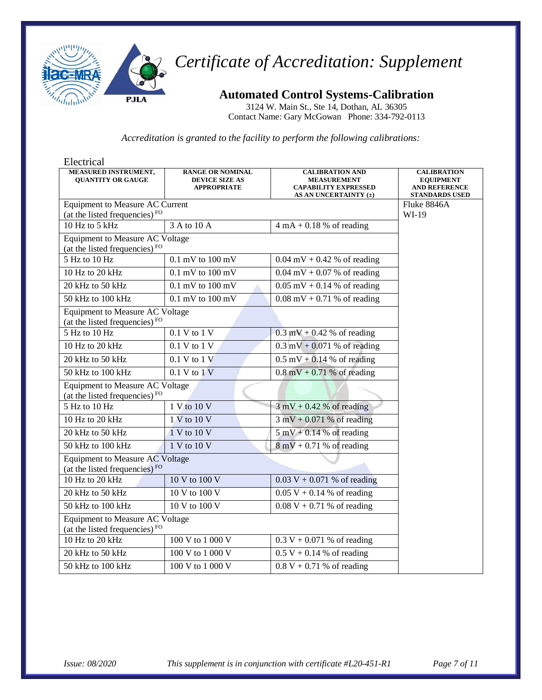

**Automated Control Systems-Calibration**

3124 W. Main St., Ste 14, Dothan, AL 36305 Contact Name: Gary McGowan Phone: 334-792-0113

| Electrical                                                                          |                                                                        |                                                                                                      |                                                                                         |  |
|-------------------------------------------------------------------------------------|------------------------------------------------------------------------|------------------------------------------------------------------------------------------------------|-----------------------------------------------------------------------------------------|--|
| MEASURED INSTRUMENT,<br><b>QUANTITY OR GAUGE</b>                                    | <b>RANGE OR NOMINAL</b><br><b>DEVICE SIZE AS</b><br><b>APPROPRIATE</b> | <b>CALIBRATION AND</b><br><b>MEASUREMENT</b><br><b>CAPABILITY EXPRESSED</b><br>AS AN UNCERTAINTY (±) | <b>CALIBRATION</b><br><b>EQUIPMENT</b><br><b>AND REFERENCE</b><br><b>STANDARDS USED</b> |  |
| <b>Equipment to Measure AC Current</b>                                              |                                                                        |                                                                                                      | Fluke 8846A                                                                             |  |
| (at the listed frequencies) <sup>FO</sup>                                           |                                                                        |                                                                                                      | WI-19                                                                                   |  |
| 10 Hz to 5 $kHz$                                                                    | 3 A to 10 A                                                            | $4 \text{ mA} + 0.18$ % of reading                                                                   |                                                                                         |  |
| <b>Equipment to Measure AC Voltage</b><br>(at the listed frequencies) <sup>FO</sup> |                                                                        |                                                                                                      |                                                                                         |  |
| 5 Hz to 10 Hz                                                                       | $0.1$ mV to $100$ mV                                                   | $0.04$ mV + 0.42 % of reading                                                                        |                                                                                         |  |
| 10 Hz to 20 kHz                                                                     | $0.1$ mV to $100$ mV                                                   | $0.04 \text{ mV} + 0.07 \%$ of reading                                                               |                                                                                         |  |
| 20 kHz to 50 kHz                                                                    | $0.1$ mV to $100$ mV                                                   | $0.05$ mV + 0.14 % of reading                                                                        |                                                                                         |  |
| 50 kHz to 100 kHz                                                                   | $0.1$ mV to $100$ mV                                                   | $0.08 \text{ mV} + 0.71 \%$ of reading                                                               |                                                                                         |  |
| Equipment to Measure AC Voltage<br>(at the listed frequencies) <sup>FO</sup>        |                                                                        |                                                                                                      |                                                                                         |  |
| 5 Hz to 10 Hz                                                                       | $0.1$ V to $1\overline{V}$                                             | $0.3$ mV + 0.42 % of reading                                                                         |                                                                                         |  |
| 10 Hz to 20 kHz                                                                     | 0.1 V to 1 V                                                           | $0.3 \text{ mV} + 0.071 \%$ of reading                                                               |                                                                                         |  |
| 20 kHz to 50 kHz                                                                    | $0.1 V$ to $1 V$                                                       | $0.5$ mV + 0.14 % of reading                                                                         |                                                                                         |  |
| 50 kHz to 100 kHz                                                                   | $0.1 V$ to $1 V$                                                       | $0.8 \text{ mV} + 0.71 \%$ of reading                                                                |                                                                                         |  |
| (at the listed frequencies) $FQ$                                                    | Equipment to Measure AC Voltage                                        |                                                                                                      |                                                                                         |  |
| 5 Hz to 10 Hz                                                                       | 1 V to 10 V                                                            | $3 \text{ mV} + 0.42$ % of reading                                                                   |                                                                                         |  |
| 10 Hz to 20 kHz                                                                     | 1 V to 10 V                                                            | $3 \text{ mV} + 0.071 \%$ of reading                                                                 |                                                                                         |  |
| 20 kHz to 50 kHz                                                                    | $1 \overline{V}$ to $10 \overline{V}$                                  | $5 \text{ mV} + 0.14 \%$ of reading                                                                  |                                                                                         |  |
| 50 kHz to 100 kHz                                                                   | 1 V to 10 V                                                            | $8 \text{ mV} + 0.71$ % of reading                                                                   |                                                                                         |  |
| <b>Equipment to Measure AC Voltage</b><br>(at the listed frequencies) $FQ$          |                                                                        |                                                                                                      |                                                                                         |  |
| 10 Hz to 20 kHz                                                                     | 10 V to 100 V                                                          | $0.03 V + 0.071 %$ of reading                                                                        |                                                                                         |  |
| 20 kHz to 50 $\overline{\text{kHz}}$                                                | 10 V to 100 V                                                          | $0.05 V + 0.14 %$ of reading                                                                         |                                                                                         |  |
| 50 kHz to 100 kHz                                                                   | 10 V to 100 V                                                          | $0.08 V + 0.71 %$ of reading                                                                         |                                                                                         |  |
| Equipment to Measure AC Voltage<br>(at the listed frequencies) $FQ$                 |                                                                        |                                                                                                      |                                                                                         |  |
| 10 Hz to 20 kHz                                                                     | 100 V to 1 000 V                                                       | $0.3 V + 0.071 %$ of reading                                                                         |                                                                                         |  |
| 20 kHz to 50 kHz                                                                    | 100 V to 1 000 V                                                       | $0.5 V + 0.14 %$ of reading                                                                          |                                                                                         |  |
| 50 kHz to 100 kHz                                                                   | 100 V to 1 000 V                                                       | $0.8 V + 0.71 %$ of reading                                                                          |                                                                                         |  |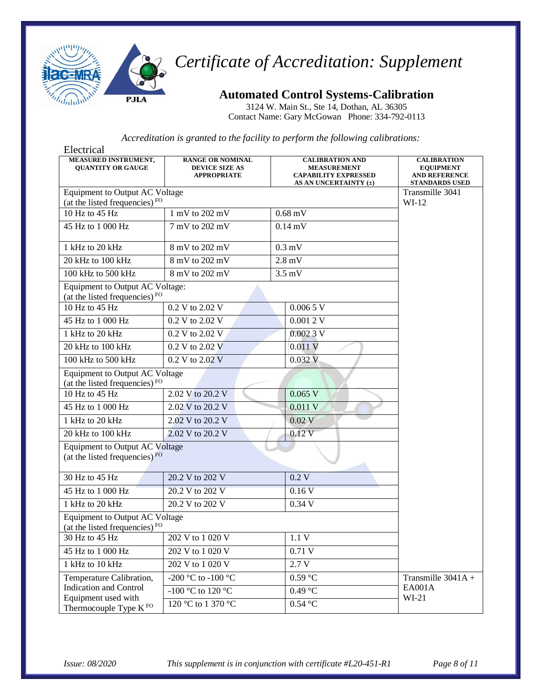

### **Automated Control Systems-Calibration**

3124 W. Main St., Ste 14, Dothan, AL 36305 Contact Name: Gary McGowan Phone: 334-792-0113

| Electrical                                                                         |                                                                        |                                                                                                      |                                                                                         |
|------------------------------------------------------------------------------------|------------------------------------------------------------------------|------------------------------------------------------------------------------------------------------|-----------------------------------------------------------------------------------------|
| <b>MEASURED INSTRUMENT,</b><br><b>OUANTITY OR GAUGE</b>                            | <b>RANGE OR NOMINAL</b><br><b>DEVICE SIZE AS</b><br><b>APPROPRIATE</b> | <b>CALIBRATION AND</b><br><b>MEASUREMENT</b><br><b>CAPABILITY EXPRESSED</b><br>AS AN UNCERTAINTY (±) | <b>CALIBRATION</b><br><b>EQUIPMENT</b><br><b>AND REFERENCE</b><br><b>STANDARDS USED</b> |
| <b>Equipment to Output AC Voltage</b>                                              | Transmille 3041                                                        |                                                                                                      |                                                                                         |
| (at the listed frequencies) <sup>FO</sup><br>10 Hz to 45 Hz                        | 1 mV to 202 mV                                                         | $0.68$ mV                                                                                            | $WI-12$                                                                                 |
|                                                                                    |                                                                        |                                                                                                      |                                                                                         |
| 45 Hz to 1 000 Hz                                                                  | 7 mV to 202 mV                                                         | $0.14 \text{ mV}$                                                                                    |                                                                                         |
| 1 kHz to 20 kHz                                                                    | 8 mV to 202 mV                                                         | $0.3$ mV                                                                                             |                                                                                         |
| 20 kHz to 100 kHz                                                                  | 8 mV to 202 mV                                                         | $2.8 \text{ mV}$                                                                                     |                                                                                         |
| 100 kHz to 500 kHz                                                                 | 8 mV to 202 mV                                                         | $3.5 \text{ mV}$                                                                                     |                                                                                         |
| Equipment to Output AC Voltage:<br>(at the listed frequencies) <sup>FO</sup>       |                                                                        |                                                                                                      |                                                                                         |
| 10 Hz to 45 Hz                                                                     | 0.2 V to 2.02 V                                                        | $0.0065 \,\mathrm{V}$                                                                                |                                                                                         |
| 45 Hz to 1 000 Hz                                                                  | 0.2 V to 2.02 V                                                        | 0.0012V                                                                                              |                                                                                         |
| 1 kHz to 20 kHz                                                                    | 0.2 V to 2.02 V                                                        | 0.0023V                                                                                              |                                                                                         |
| 20 kHz to 100 kHz                                                                  | 0.2 V to 2.02 V                                                        | 0.011V                                                                                               |                                                                                         |
| 100 kHz to 500 kHz                                                                 | 0.2 V to 2.02 V                                                        | 0.032V                                                                                               |                                                                                         |
| <b>Equipment to Output AC Voltage</b><br>(at the listed frequencies) $FQ$          |                                                                        |                                                                                                      |                                                                                         |
| 10 Hz to 45 Hz                                                                     | 2.02 V to 20.2 V                                                       | $0.065$ V                                                                                            |                                                                                         |
| 45 Hz to 1 000 Hz                                                                  | 2.02 V to 20.2 V                                                       | 0.011V                                                                                               |                                                                                         |
| 1 kHz to 20 kHz                                                                    | 2.02 V to 20.2 V                                                       | $0.02$ V                                                                                             |                                                                                         |
| 20 kHz to 100 kHz                                                                  | 2.02 V to 20.2 V                                                       | 0.12V                                                                                                |                                                                                         |
| <b>Equipment to Output AC Voltage</b><br>(at the listed frequencies) FO            |                                                                        |                                                                                                      |                                                                                         |
| 30 Hz to 45 Hz                                                                     | 20.2 V to 202 V                                                        | 0.2V                                                                                                 |                                                                                         |
| 45 Hz to 1 000 Hz                                                                  | 20.2 V to 202 V                                                        | 0.16V                                                                                                |                                                                                         |
| 1 kHz to 20 kHz<br>20.2 V to 202 V                                                 |                                                                        | 0.34V                                                                                                |                                                                                         |
| <b>Equipment to Output AC Voltage</b><br>(at the listed frequencies) <sup>FO</sup> |                                                                        |                                                                                                      |                                                                                         |
| 30 Hz to 45 Hz                                                                     | 202 V to 1 020 V                                                       | 1.1V                                                                                                 |                                                                                         |
| 45 Hz to 1 000 Hz                                                                  | 202 V to 1 020 V                                                       | 0.71V                                                                                                |                                                                                         |
| 1 kHz to 10 kHz                                                                    | 202 V to 1 020 V                                                       | 2.7 V                                                                                                |                                                                                         |
| Temperature Calibration,                                                           | -200 °C to -100 °C                                                     | 0.59 °C                                                                                              | Transmille 3041A +                                                                      |
| <b>Indication and Control</b><br>Equipment used with                               | -100 °C to 120 °C                                                      | $0.49$ °C                                                                                            | <b>EA001A</b><br>$WI-21$                                                                |
| Thermocouple Type K <sup>FO</sup>                                                  | 120 °C to 1 370 °C                                                     | $0.54\text{ °C}$                                                                                     |                                                                                         |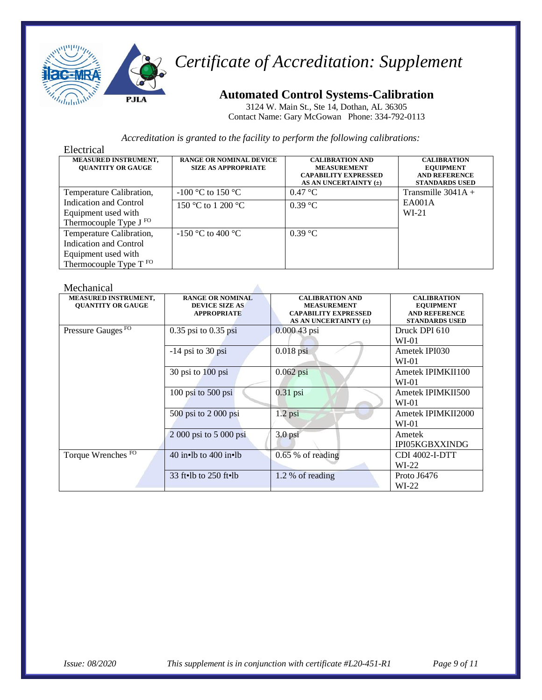

### **Automated Control Systems-Calibration**

3124 W. Main St., Ste 14, Dothan, AL 36305 Contact Name: Gary McGowan Phone: 334-792-0113

#### *Accreditation is granted to the facility to perform the following calibrations:*

| Electrical                                                                                          |                                                              |                                                                                                      |                                                                                         |
|-----------------------------------------------------------------------------------------------------|--------------------------------------------------------------|------------------------------------------------------------------------------------------------------|-----------------------------------------------------------------------------------------|
| MEASURED INSTRUMENT,<br><b>OUANTITY OR GAUGE</b>                                                    | <b>RANGE OR NOMINAL DEVICE</b><br><b>SIZE AS APPROPRIATE</b> | <b>CALIBRATION AND</b><br><b>MEASUREMENT</b><br><b>CAPABILITY EXPRESSED</b><br>AS AN UNCERTAINTY (±) | <b>CALIBRATION</b><br><b>EQUIPMENT</b><br><b>AND REFERENCE</b><br><b>STANDARDS USED</b> |
| Temperature Calibration,                                                                            | $-100$ °C to 150 °C                                          | $0.47 \text{ °C}$                                                                                    | Transmille $3041A +$                                                                    |
| Indication and Control<br>Equipment used with<br>Thermocouple Type J <sup>FO</sup>                  | 150 °C to 1 200 °C                                           | $0.39 \text{ °C}$                                                                                    | EA001A<br>W <sub>L</sub> 21                                                             |
| Temperature Calibration,<br>Indication and Control<br>Equipment used with<br>Thermocouple Type T FO | $-150$ °C to 400 °C                                          | $0.39$ °C                                                                                            |                                                                                         |

#### Mechanical

| niccimina                                               |                                                                        |                                                                                                      |                                                                                         |
|---------------------------------------------------------|------------------------------------------------------------------------|------------------------------------------------------------------------------------------------------|-----------------------------------------------------------------------------------------|
| <b>MEASURED INSTRUMENT,</b><br><b>OUANTITY OR GAUGE</b> | <b>RANGE OR NOMINAL</b><br><b>DEVICE SIZE AS</b><br><b>APPROPRIATE</b> | <b>CALIBRATION AND</b><br><b>MEASUREMENT</b><br><b>CAPABILITY EXPRESSED</b><br>AS AN UNCERTAINTY (±) | <b>CALIBRATION</b><br><b>EQUIPMENT</b><br><b>AND REFERENCE</b><br><b>STANDARDS USED</b> |
| Pressure Gauges <sup>FO</sup>                           | $0.35$ psi to $0.35$ psi                                               | $0.00043$ psi                                                                                        | Druck DPI 610<br>$WI-01$                                                                |
|                                                         | $-14$ psi to 30 psi                                                    | $0.018$ psi                                                                                          | Ametek IPI030<br>$WI-01$                                                                |
|                                                         | 30 psi to 100 psi                                                      | $0.062$ psi                                                                                          | Ametek IPIMKII100<br>$WI-01$                                                            |
|                                                         | $100$ psi to $500$ psi                                                 | $0.31$ psi                                                                                           | Ametek IPIMKII500<br>$WI-01$                                                            |
|                                                         | $500$ psi to $2000$ psi                                                | $1.2$ psi                                                                                            | Ametek IPIMKII2000<br>$WI-01$                                                           |
|                                                         | 2 000 psi to 5 000 psi                                                 | $3.0$ psi                                                                                            | Ametek<br>IPI05KGBXXINDG                                                                |
| Torque Wrenches <sup>FO</sup>                           | 40 in $\cdot$ lb to 400 in $\cdot$ lb                                  | $0.65$ % of reading                                                                                  | CDI 4002-I-DTT<br>$WI-22$                                                               |
|                                                         | 33 ft $\cdot$ lb to 250 ft $\cdot$ lb                                  | 1.2 % of reading                                                                                     | Proto J6476<br>$WI-22$                                                                  |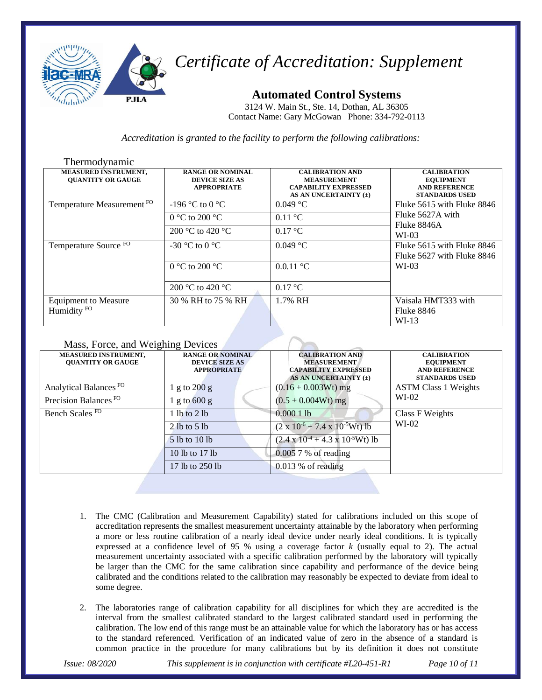

**Automated Control Systems**

3124 W. Main St., Ste. 14, Dothan, AL 36305 Contact Name: Gary McGowan Phone: 334-792-0113

*Accreditation is granted to the facility to perform the following calibrations:*

| Thermodynamic                                           |                                                                        |                                                                                                      |                                                                                         |
|---------------------------------------------------------|------------------------------------------------------------------------|------------------------------------------------------------------------------------------------------|-----------------------------------------------------------------------------------------|
| <b>MEASURED INSTRUMENT,</b><br><b>OUANTITY OR GAUGE</b> | <b>RANGE OR NOMINAL</b><br><b>DEVICE SIZE AS</b><br><b>APPROPRIATE</b> | <b>CALIBRATION AND</b><br><b>MEASUREMENT</b><br><b>CAPABILITY EXPRESSED</b><br>AS AN UNCERTAINTY (±) | <b>CALIBRATION</b><br><b>EQUIPMENT</b><br><b>AND REFERENCE</b><br><b>STANDARDS USED</b> |
| Temperature Measurement FO                              | $-196$ °C to 0 °C                                                      | 0.049 °C                                                                                             | Fluke 5615 with Fluke 8846                                                              |
|                                                         | 0 °C to 200 °C                                                         | $0.11 \text{ °C}$                                                                                    | Fluke 5627A with<br>Fluke 8846A                                                         |
|                                                         | 200 °C to 420 °C                                                       | $0.17 \text{ °C}$                                                                                    | $WI-03$                                                                                 |
| Temperature Source FO                                   | -30 °C to 0 °C                                                         | $0.049$ °C                                                                                           | Fluke 5615 with Fluke 8846<br>Fluke 5627 with Fluke 8846                                |
|                                                         | 0 °C to 200 °C                                                         | 0.0.11 °C                                                                                            | $WI-03$                                                                                 |
|                                                         | 200 °C to 420 °C                                                       | $0.17 \text{ °C}$                                                                                    |                                                                                         |
| <b>Equipment to Measure</b><br>Humidity <sup>FO</sup>   | 30 % RH to 75 % RH                                                     | 1.7% RH                                                                                              | Vaisala HMT333 with<br>Fluke 8846<br>$WI-13$                                            |

#### Mass, Force, and Weighing Devices

| <b>MEASURED INSTRUMENT,</b><br><b>OUANTITY OR GAUGE</b> | <b>RANGE OR NOMINAL</b><br><b>DEVICE SIZE AS</b><br><b>APPROPRIATE</b> | <b>CALIBRATION AND</b><br><b>MEASUREMENT</b><br><b>CAPABILITY EXPRESSED</b><br>AS AN UNCERTAINTY $(\pm)$ | <b>CALIBRATION</b><br><b>EQUIPMENT</b><br><b>AND REFERENCE</b><br><b>STANDARDS USED</b> |
|---------------------------------------------------------|------------------------------------------------------------------------|----------------------------------------------------------------------------------------------------------|-----------------------------------------------------------------------------------------|
| Analytical Balances <sup>FO</sup>                       | 1 g to $200 g$                                                         | $(0.16 + 0.003Wt)$ mg                                                                                    | <b>ASTM Class 1 Weights</b><br>$WI-02$                                                  |
| Precision Balances <sup>FO</sup>                        | 1 g to $600 g$                                                         | $(0.5 + 0.004Wt)$ mg                                                                                     |                                                                                         |
| Bench Scales <sup>FO</sup>                              | 1 lb to $2$ lb                                                         | 0.00011b                                                                                                 | Class F Weights                                                                         |
|                                                         | 2 lb to 5 lb                                                           | $(2 \times 10^{-6} + 7.4 \times 10^{-5} Wt)$ lb                                                          | $WI-02$                                                                                 |
|                                                         | 5 lb to 10 lb                                                          | $(2.4 \times 10^{-4} + 4.3 \times 10^{-5} Wt)$ lb                                                        |                                                                                         |
|                                                         | 10 lb to 17 lb                                                         | $0.0057%$ of reading                                                                                     |                                                                                         |
|                                                         | 17 lb to 250 lb                                                        | $0.013\%$ of reading                                                                                     |                                                                                         |

- 1. The CMC (Calibration and Measurement Capability) stated for calibrations included on this scope of accreditation represents the smallest measurement uncertainty attainable by the laboratory when performing a more or less routine calibration of a nearly ideal device under nearly ideal conditions. It is typically expressed at a confidence level of 95 % using a coverage factor *k* (usually equal to 2). The actual measurement uncertainty associated with a specific calibration performed by the laboratory will typically be larger than the CMC for the same calibration since capability and performance of the device being calibrated and the conditions related to the calibration may reasonably be expected to deviate from ideal to some degree.
- 2. The laboratories range of calibration capability for all disciplines for which they are accredited is the interval from the smallest calibrated standard to the largest calibrated standard used in performing the calibration. The low end of this range must be an attainable value for which the laboratory has or has access to the standard referenced. Verification of an indicated value of zero in the absence of a standard is common practice in the procedure for many calibrations but by its definition it does not constitute